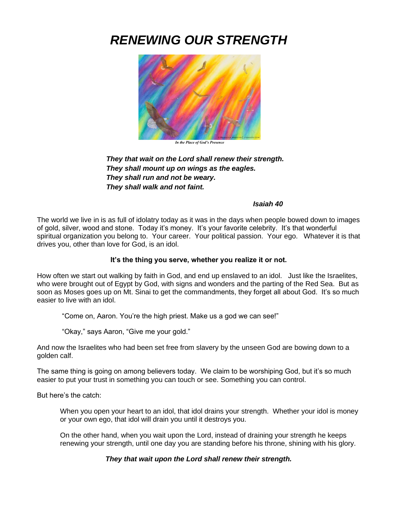# *RENEWING OUR STRENGTH*



 *In the Place of God's Presence*

*They that wait on the Lord shall renew their strength. They shall mount up on wings as the eagles. They shall run and not be weary. They shall walk and not faint.*

#### *Isaiah 40*

The world we live in is as full of idolatry today as it was in the days when people bowed down to images of gold, silver, wood and stone. Today it's money. It's your favorite celebrity. It's that wonderful spiritual organization you belong to. Your career. Your political passion. Your ego. Whatever it is that drives you, other than love for God, is an idol.

# **It's the thing you serve, whether you realize it or not.**

How often we start out walking by faith in God, and end up enslaved to an idol. Just like the Israelites, who were brought out of Egypt by God, with signs and wonders and the parting of the Red Sea. But as soon as Moses goes up on Mt. Sinai to get the commandments, they forget all about God. It's so much easier to live with an idol.

"Come on, Aaron. You're the high priest. Make us a god we can see!"

"Okay," says Aaron, "Give me your gold."

And now the Israelites who had been set free from slavery by the unseen God are bowing down to a golden calf.

The same thing is going on among believers today. We claim to be worshiping God, but it's so much easier to put your trust in something you can touch or see. Something you can control.

But here's the catch:

When you open your heart to an idol, that idol drains your strength. Whether your idol is money or your own ego, that idol will drain you until it destroys you.

On the other hand, when you wait upon the Lord, instead of draining your strength he keeps renewing your strength, until one day you are standing before his throne, shining with his glory.

*They that wait upon the Lord shall renew their strength.*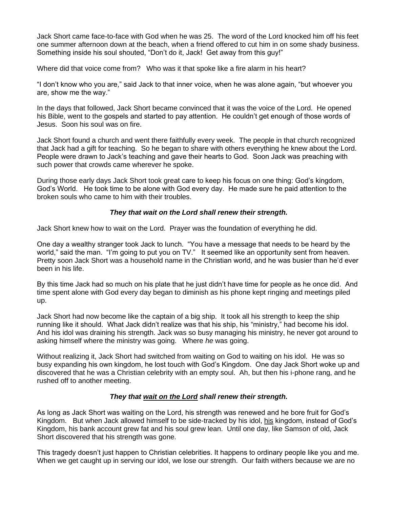Jack Short came face-to-face with God when he was 25. The word of the Lord knocked him off his feet one summer afternoon down at the beach, when a friend offered to cut him in on some shady business. Something inside his soul shouted, "Don't do it, Jack! Get away from this guy!"

Where did that voice come from? Who was it that spoke like a fire alarm in his heart?

"I don't know who you are," said Jack to that inner voice, when he was alone again, "but whoever you are, show me the way."

In the days that followed, Jack Short became convinced that it was the voice of the Lord. He opened his Bible, went to the gospels and started to pay attention. He couldn't get enough of those words of Jesus. Soon his soul was on fire.

Jack Short found a church and went there faithfully every week. The people in that church recognized that Jack had a gift for teaching. So he began to share with others everything he knew about the Lord. People were drawn to Jack's teaching and gave their hearts to God. Soon Jack was preaching with such power that crowds came wherever he spoke.

During those early days Jack Short took great care to keep his focus on one thing: God's kingdom, God's World. He took time to be alone with God every day. He made sure he paid attention to the broken souls who came to him with their troubles.

## *They that wait on the Lord shall renew their strength.*

Jack Short knew how to wait on the Lord. Prayer was the foundation of everything he did.

One day a wealthy stranger took Jack to lunch. "You have a message that needs to be heard by the world," said the man. "I'm going to put you on TV." It seemed like an opportunity sent from heaven. Pretty soon Jack Short was a household name in the Christian world, and he was busier than he'd ever been in his life.

By this time Jack had so much on his plate that he just didn't have time for people as he once did. And time spent alone with God every day began to diminish as his phone kept ringing and meetings piled up.

Jack Short had now become like the captain of a big ship. It took all his strength to keep the ship running like it should. What Jack didn't realize was that his ship, his "ministry," had become his idol. And his idol was draining his strength. Jack was so busy managing his ministry, he never got around to asking himself where the ministry was going. Where *he* was going.

Without realizing it, Jack Short had switched from waiting on God to waiting on his idol. He was so busy expanding his own kingdom, he lost touch with God's Kingdom. One day Jack Short woke up and discovered that he was a Christian celebrity with an empty soul. Ah, but then his i-phone rang, and he rushed off to another meeting.

# *They that wait on the Lord shall renew their strength.*

As long as Jack Short was waiting on the Lord, his strength was renewed and he bore fruit for God's Kingdom. But when Jack allowed himself to be side-tracked by his idol, his kingdom, instead of God's Kingdom, his bank account grew fat and his soul grew lean. Until one day, like Samson of old, Jack Short discovered that his strength was gone.

This tragedy doesn't just happen to Christian celebrities. It happens to ordinary people like you and me. When we get caught up in serving our idol, we lose our strength. Our faith withers because we are no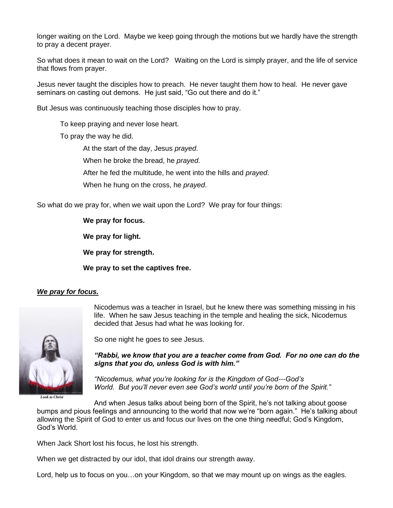longer waiting on the Lord. Maybe we keep going through the motions but we hardly have the strength to pray a decent prayer.

So what does it mean to wait on the Lord? Waiting on the Lord is simply prayer, and the life of service that flows from prayer.

Jesus never taught the disciples how to preach. He never taught them how to heal. He never gave seminars on casting out demons. He just said, "Go out there and do it."

But Jesus was continuously teaching those disciples how to pray.

To keep praying and never lose heart.

To pray the way he did.

At the start of the day, Jesus *prayed*. When he broke the bread, he *prayed*. After he fed the multitude, he went into the hills and *prayed*. When he hung on the cross, he *prayed*.

So what do we pray for, when we wait upon the Lord? We pray for four things:

**We pray for focus.**

**We pray for light.** 

**We pray for strength.**

**We pray to set the captives free.**

# *We pray for focus.*



*Look to Christ*

Nicodemus was a teacher in Israel, but he knew there was something missing in his life. When he saw Jesus teaching in the temple and healing the sick, Nicodemus decided that Jesus had what he was looking for.

So one night he goes to see Jesus.

*"Rabbi, we know that you are a teacher come from God. For no one can do the signs that you do, unless God is with him."*

*"Nicodemus, what you're looking for is the Kingdom of God---God's World. But you'll never even see God's world until you're born of the Spirit."*

And when Jesus talks about being born of the Spirit, he's not talking about goose bumps and pious feelings and announcing to the world that now we're "born again." He's talking about allowing the Spirit of God to enter us and focus our lives on the one thing needful; God's Kingdom, God's World.

When Jack Short lost his focus, he lost his strength.

When we get distracted by our idol, that idol drains our strength away.

Lord, help us to focus on you…on your Kingdom, so that we may mount up on wings as the eagles.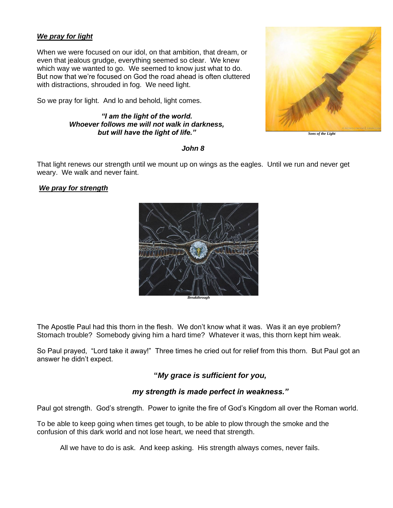# *We pray for light*

When we were focused on our idol, on that ambition, that dream, or even that jealous grudge, everything seemed so clear. We knew which way we wanted to go. We seemed to know just what to do. But now that we're focused on God the road ahead is often cluttered with distractions, shrouded in fog. We need light.

So we pray for light. And lo and behold, light comes.

## *"I am the light of the world. Whoever follows me will not walk in darkness, but will have the light of life."*



*Sons of the Light*

#### *John 8*

That light renews our strength until we mount up on wings as the eagles. Until we run and never get weary. We walk and never faint.

## *We pray for strength*



The Apostle Paul had this thorn in the flesh. We don't know what it was. Was it an eye problem? Stomach trouble? Somebody giving him a hard time? Whatever it was, this thorn kept him weak.

So Paul prayed, "Lord take it away!" Three times he cried out for relief from this thorn. But Paul got an answer he didn't expect.

# **"***My grace is sufficient for you,*

# *my strength is made perfect in weakness."*

Paul got strength. God's strength. Power to ignite the fire of God's Kingdom all over the Roman world.

To be able to keep going when times get tough, to be able to plow through the smoke and the confusion of this dark world and not lose heart, we need that strength.

All we have to do is ask. And keep asking. His strength always comes, never fails.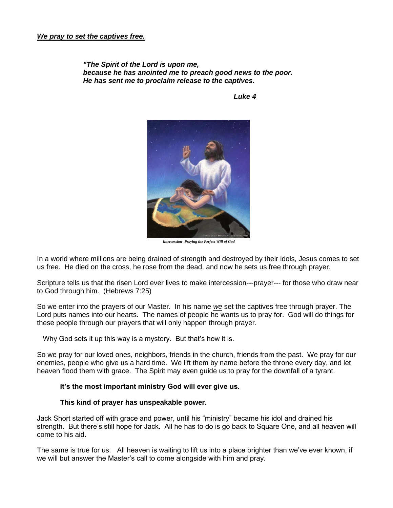*"The Spirit of the Lord is upon me, because he has anointed me to preach good news to the poor. He has sent me to proclaim release to the captives.*

*Luke 4*



*Intercession- Praying the Perfect Will of God*

In a world where millions are being drained of strength and destroyed by their idols, Jesus comes to set us free. He died on the cross, he rose from the dead, and now he sets us free through prayer.

Scripture tells us that the risen Lord ever lives to make intercession---prayer--- for those who draw near to God through him. (Hebrews 7:25)

So we enter into the prayers of our Master. In his name *we* set the captives free through prayer. The Lord puts names into our hearts. The names of people he wants us to pray for. God will do things for these people through our prayers that will only happen through prayer.

Why God sets it up this way is a mystery. But that's how it is.

So we pray for our loved ones, neighbors, friends in the church, friends from the past. We pray for our enemies, people who give us a hard time. We lift them by name before the throne every day, and let heaven flood them with grace. The Spirit may even guide us to pray for the downfall of a tyrant.

### **It's the most important ministry God will ever give us.**

#### **This kind of prayer has unspeakable power.**

Jack Short started off with grace and power, until his "ministry" became his idol and drained his strength. But there's still hope for Jack. All he has to do is go back to Square One, and all heaven will come to his aid.

The same is true for us. All heaven is waiting to lift us into a place brighter than we've ever known, if we will but answer the Master's call to come alongside with him and pray.